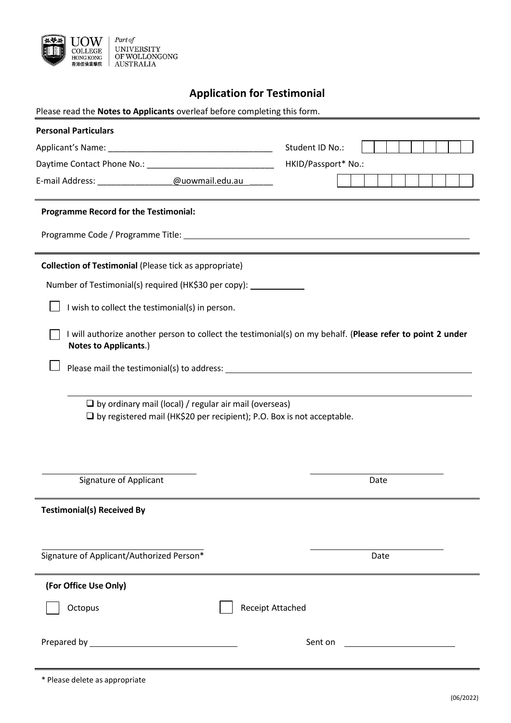

# **Application for Testimonial**

| Please read the Notes to Applicants overleaf before completing this form.                                                                                                                                                     |                         |
|-------------------------------------------------------------------------------------------------------------------------------------------------------------------------------------------------------------------------------|-------------------------|
| <b>Personal Particulars</b>                                                                                                                                                                                                   |                         |
|                                                                                                                                                                                                                               | Student ID No.:         |
|                                                                                                                                                                                                                               | HKID/Passport* No.:     |
|                                                                                                                                                                                                                               |                         |
| <b>Programme Record for the Testimonial:</b>                                                                                                                                                                                  |                         |
|                                                                                                                                                                                                                               |                         |
| <b>Collection of Testimonial (Please tick as appropriate)</b>                                                                                                                                                                 |                         |
| Number of Testimonial(s) required (HK\$30 per copy):                                                                                                                                                                          |                         |
| I wish to collect the testimonial(s) in person.                                                                                                                                                                               |                         |
| I will authorize another person to collect the testimonial(s) on my behalf. (Please refer to point 2 under<br><b>Notes to Applicants.)</b>                                                                                    |                         |
| Please mail the testimonial(s) to address: example a state of the state of the state of the state of the state of the state of the state of the state of the state of the state of the state of the state of the state of the |                         |
|                                                                                                                                                                                                                               |                         |
| $\Box$ by ordinary mail (local) / regular air mail (overseas)<br>$\Box$ by registered mail (HK\$20 per recipient); P.O. Box is not acceptable.                                                                                |                         |
|                                                                                                                                                                                                                               |                         |
| <b>Signature of Applicant</b>                                                                                                                                                                                                 | Date                    |
| <b>Testimonial(s) Received By</b>                                                                                                                                                                                             |                         |
| Signature of Applicant/Authorized Person*                                                                                                                                                                                     | Date                    |
| (For Office Use Only)                                                                                                                                                                                                         |                         |
| Octopus                                                                                                                                                                                                                       | <b>Receipt Attached</b> |
|                                                                                                                                                                                                                               | Sent on                 |
|                                                                                                                                                                                                                               |                         |